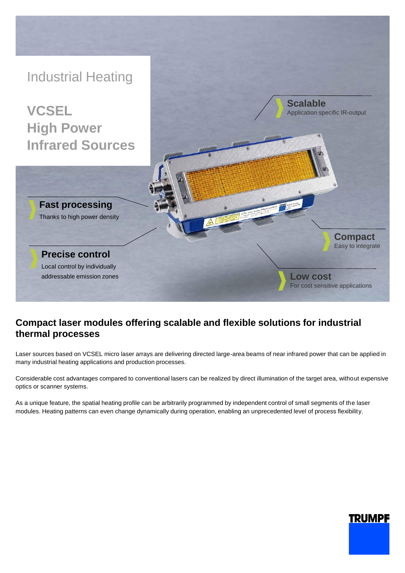

## **Compact laser modules offering scalable and flexible solutions for industrial thermal processes**

Laser sources based on VCSEL micro laser arrays are delivering directed large-area beams of near infrared power that can be applied in many industrial heating applications and production processes.

Considerable cost advantages compared to conventional lasers can be realized by direct illumination of the target area, without expensive optics or scanner systems.

As a unique feature, the spatial heating profile can be arbitrarily programmed by independent control of small segments of the laser modules. Heating patterns can even change dynamically during operation, enabling an unprecedented level of process flexibility.

# **TRUMPF**